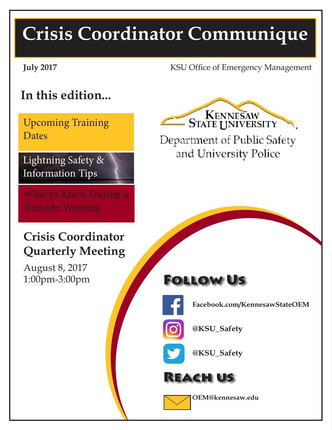# **Crisis Coordinator Communique**

**July 2017** KSU Office of Emergency Management

# **In this edition...**

Upcoming Training **Dates** 

## Lightning Safety & Information Tips

## **Crisis Coordinator Quarterly Meeting**

August 8, 2017 1:00pm-3:00pm

KENNESAW **STATE UNIVERSITY** 

Department of Public Safety and University Police

# Follow Us



**Facebook.com/KennesawStateOEM**



**@KSU\_Safety**



**@KSU\_Safety**





**OEM@kennesaw.edu**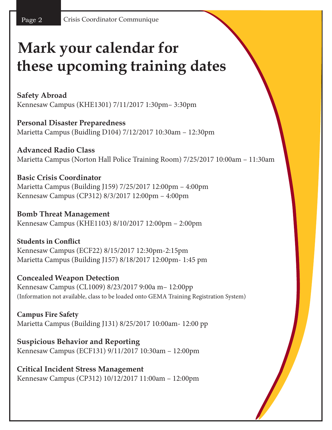# **Mark your calendar for these upcoming training dates**

**Safety Abroad** Kennesaw Campus (KHE1301) 7/11/2017 1:30pm– 3:30pm

**Personal Disaster Preparedness** Marietta Campus (Buidling D104) 7/12/2017 10:30am – 12:30pm

**Advanced Radio Class** Marietta Campus (Norton Hall Police Training Room) 7/25/2017 10:00am – 11:30am

**Basic Crisis Coordinator** Marietta Campus (Building J159) 7/25/2017 12:00pm – 4:00pm Kennesaw Campus (CP312) 8/3/2017 12:00pm – 4:00pm

**Bomb Threat Management** Kennesaw Campus (KHE1103) 8/10/2017 12:00pm – 2:00pm

**Students in Conflict** Kennesaw Campus (ECF22) 8/15/2017 12:30pm-2:15pm Marietta Campus (Building J157) 8/18/2017 12:00pm- 1:45 pm

**Concealed Weapon Detection** Kennesaw Campus (CL1009) 8/23/2017 9:00a m– 12:00pp (Information not available, class to be loaded onto GEMA Training Registration System)

**Campus Fire Safety** Marietta Campus (Building J131) 8/25/2017 10:00am- 12:00 pp

**Suspicious Behavior and Reporting** Kennesaw Campus (ECF131) 9/11/2017 10:30am – 12:00pm

**Critical Incident Stress Management** Kennesaw Campus (CP312) 10/12/2017 11:00am – 12:00pm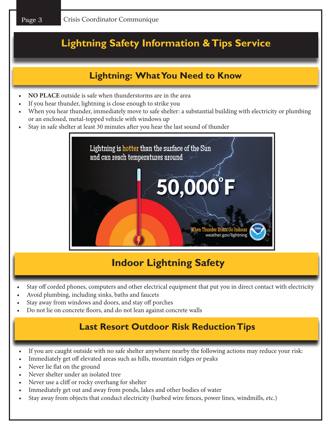## **Lightning Safety Information & Tips Service**

## **Lightning: What You Need to Know**

- **• NO PLACE** outside is safe when thunderstorms are in the area
- If you hear thunder, lightning is close enough to strike you
- When you hear thunder, immediately move to safe shelter: a substantial building with electricity or plumbing or an enclosed, metal-topped vehicle with windows up
- Stay in safe shelter at least 30 minutes after you hear the last sound of thunder



## **Indoor Lightning Safety**

- Stay off corded phones, computers and other electrical equipment that put you in direct contact with electricity
- Avoid plumbing, including sinks, baths and faucets
- Stay away from windows and doors, and stay off porches
- Do not lie on concrete floors, and do not lean against concrete walls

### **Last Resort Outdoor Risk Reduction Tips**

- If you are caught outside with no safe shelter anywhere nearby the following actions may reduce your risk:
- Immediately get off elevated areas such as hills, mountain ridges or peaks
- Never lie flat on the ground
- Never shelter under an isolated tree
- Never use a cliff or rocky overhang for shelter
- Immediately get out and away from ponds, lakes and other bodies of water
- Stay away from objects that conduct electricity (barbed wire fences, power lines, windmills, etc.)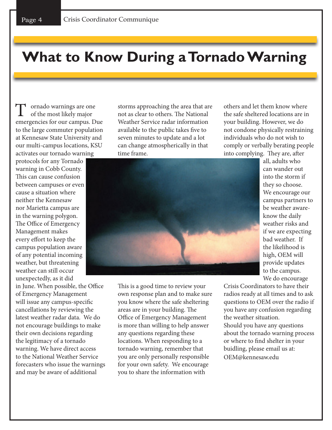# **What to Know During a Tornado Warning**

T ornado warnings are one of the most likely major emergencies for our campus. Due to the large commuter population at Kennesaw State University and our multi-campus locations, KSU activates our tornado warning

protocols for any Tornado warning in Cobb County. This can cause confusion between campuses or even cause a situation where neither the Kennesaw nor Marietta campus are in the warning polygon. The Office of Emergency Management makes every effort to keep the campus population aware of any potential incoming weather, but threatening weather can still occur unexpectedly, as it did

in June. When possible, the Office of Emergency Management will issue any campus-specific cancellations by reviewing the latest weather radar data. We do not encourage buildings to make their own decisions regarding the legitimacy of a tornado warning. We have direct access to the National Weather Service forecasters who issue the warnings and may be aware of additional

storms approaching the area that are not as clear to others. The National Weather Service radar information available to the public takes five to seven minutes to update and a lot can change atmospherically in that time frame.

others and let them know where the safe sheltered locations are in your building. However, we do not condone physically restraining individuals who do not wish to comply or verbally berating people into complying. They are, after



This is a good time to review your own response plan and to make sure you know where the safe sheltering areas are in your building. The Office of Emergency Management is more than willing to help answer any questions regarding these locations. When responding to a tornado warning, remember that you are only personally responsible for your own safety. We encourage you to share the information with

all, adults who can wander out into the storm if they so choose. We encourage our campus partners to be weather awareknow the daily weather risks and if we are expecting bad weather. If the likelihood is high, OEM will provide updates to the campus. We do encourage

Crisis Coordinators to have their radios ready at all times and to ask questions to OEM over the radio if you have any confusion regarding the weather situation. Should you have any questions about the tornado warning process or where to find shelter in your buidling, please email us at: OEM@kennesaw.edu